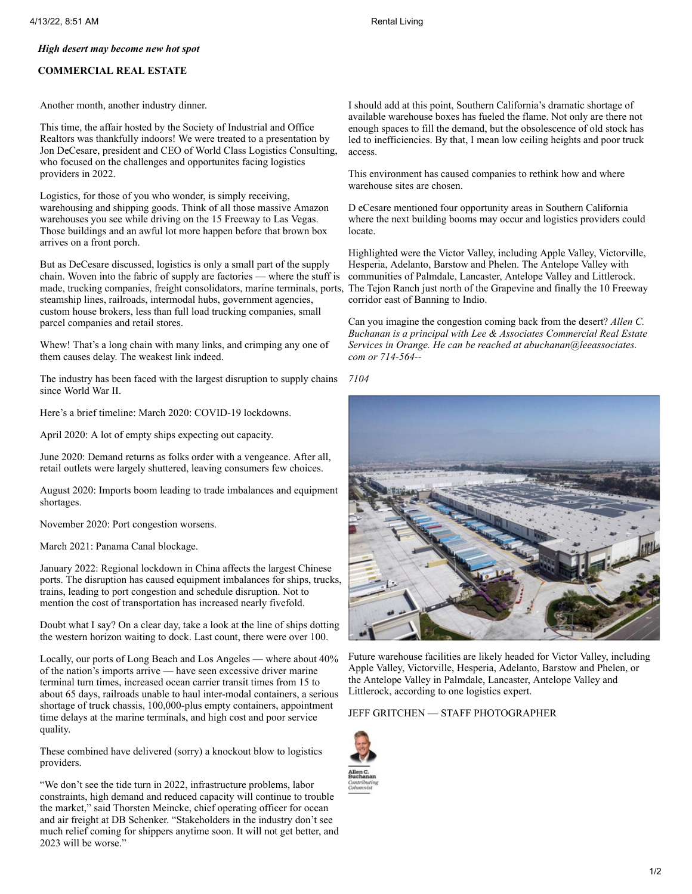## *High desert may become new hot spot*

## **COMMERCIAL REAL ESTATE**

Another month, another industry dinner.

This time, the affair hosted by the Society of Industrial and Office Realtors was thankfully indoors! We were treated to a presentation by Jon DeCesare, president and CEO of World Class Logistics Consulting, who focused on the challenges and opportunites facing logistics providers in 2022.

Logistics, for those of you who wonder, is simply receiving, warehousing and shipping goods. Think of all those massive Amazon warehouses you see while driving on the 15 Freeway to Las Vegas. Those buildings and an awful lot more happen before that brown box arrives on a front porch.

But as DeCesare discussed, logistics is only a small part of the supply chain. Woven into the fabric of supply are factories — where the stuff is made, trucking companies, freight consolidators, marine terminals, ports, steamship lines, railroads, intermodal hubs, government agencies, custom house brokers, less than full load trucking companies, small parcel companies and retail stores.

Whew! That's a long chain with many links, and crimping any one of them causes delay. The weakest link indeed.

The industry has been faced with the largest disruption to supply chains since World War II.

Here's a brief timeline: March 2020: COVID-19 lockdowns.

April 2020: A lot of empty ships expecting out capacity.

June 2020: Demand returns as folks order with a vengeance. After all, retail outlets were largely shuttered, leaving consumers few choices.

August 2020: Imports boom leading to trade imbalances and equipment shortages.

November 2020: Port congestion worsens.

March 2021: Panama Canal blockage.

January 2022: Regional lockdown in China affects the largest Chinese ports. The disruption has caused equipment imbalances for ships, trucks, trains, leading to port congestion and schedule disruption. Not to mention the cost of transportation has increased nearly fivefold.

Doubt what I say? On a clear day, take a look at the line of ships dotting the western horizon waiting to dock. Last count, there were over 100.

Locally, our ports of Long Beach and Los Angeles — where about 40% of the nation's imports arrive — have seen excessive driver marine terminal turn times, increased ocean carrier transit times from 15 to about 65 days, railroads unable to haul inter-modal containers, a serious shortage of truck chassis, 100,000-plus empty containers, appointment time delays at the marine terminals, and high cost and poor service quality.

These combined have delivered (sorry) a knockout blow to logistics providers.

"We don't see the tide turn in 2022, infrastructure problems, labor constraints, high demand and reduced capacity will continue to trouble the market," said Thorsten Meincke, chief operating officer for ocean and air freight at DB Schenker. "Stakeholders in the industry don't see much relief coming for shippers anytime soon. It will not get better, and 2023 will be worse."

I should add at this point, Southern California's dramatic shortage of available warehouse boxes has fueled the flame. Not only are there not enough spaces to fill the demand, but the obsolescence of old stock has led to inefficiencies. By that, I mean low ceiling heights and poor truck access.

This environment has caused companies to rethink how and where warehouse sites are chosen.

D eCesare mentioned four opportunity areas in Southern California where the next building booms may occur and logistics providers could locate.

Highlighted were the Victor Valley, including Apple Valley, Victorville, Hesperia, Adelanto, Barstow and Phelen. The Antelope Valley with communities of Palmdale, Lancaster, Antelope Valley and Littlerock. The Tejon Ranch just north of the Grapevine and finally the 10 Freeway corridor east of Banning to Indio.

Can you imagine the congestion coming back from the desert? *Allen C. Buchanan is a principal with Lee & Associates Commercial Real Estate Services in Orange. He can be reached at abuchanan@leeassociates. com or 714-564--*





Future warehouse facilities are likely headed for Victor Valley, including Apple Valley, Victorville, Hesperia, Adelanto, Barstow and Phelen, or the Antelope Valley in Palmdale, Lancaster, Antelope Valley and Littlerock, according to one logistics expert.

## JEFF GRITCHEN — STAFF PHOTOGRAPHER